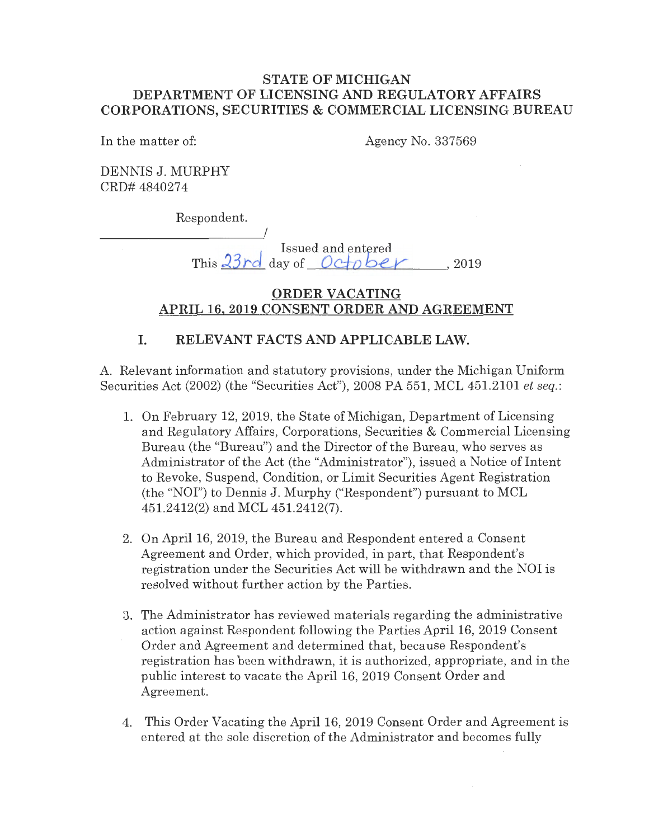### **STATE OF MICHIGAN DEPARTMENT OF LICENSING AND REGULATORY AFFAIRS CORPORATIONS, SECURITIES & COMMERCIAL LICENSING BUREAU**

In the matter of:

Agency No. 337569

DENNIS J. MURPHY CRD# 4840274

Respondent.

----------~/ Issued and entered This **2.3 rd** day of *Oc±o bLV* , <sup>2019</sup>

## **ORDER VACATING APRIL 16, 2019 CONSENT ORDER AND AGREEMENT**

# **I. RELEVANT FACTS AND APPLICABLE LAW.**

A. Relevant information and statutory provisions, under the Michigan Uniform Securities Act (2002) (the "Securities Act"), 2008 PA 551, MCL 451.2101 *et seq.:* 

- 1. On February 12, 2019, the State of Michigan, Department of Licensing and Regulatory Affairs, Corporations, Securities & Commercial Licensing Bureau (the "Bureau") and the Director of the Bureau, who serves as Administrator of the Act (the "Administrator"), issued a Notice of Intent to Revoke, Suspend, Condition, or Limit Securities Agent Registration (the "NOI") to Dennis J. Murphy ("Respondent") pursuant to MCL 451.2412(2) and MCL 451.2412(7).
- 2. On April 16, 2019, the Bureau and Respondent entered a Consent Agreement and Order, which provided, in part, that Respondent's registration under the Securities Act will be withdrawn and the NOI is resolved without further action by the Parties.
- 3. The Administrator has reviewed materials regarding the administrative action against Respondent following the Parties April 16, 2019 Consent Order and Agreement and determined that, because Respondent's registration has been withdrawn, it is authorized, appropriate, and in the public interest to vacate the April 16, 2019 Consent Order and Agreement.
- 4. This Order Vacating the April 16, 2019 Consent Order and Agreement is entered at the sole discretion of the Administrator and becomes fully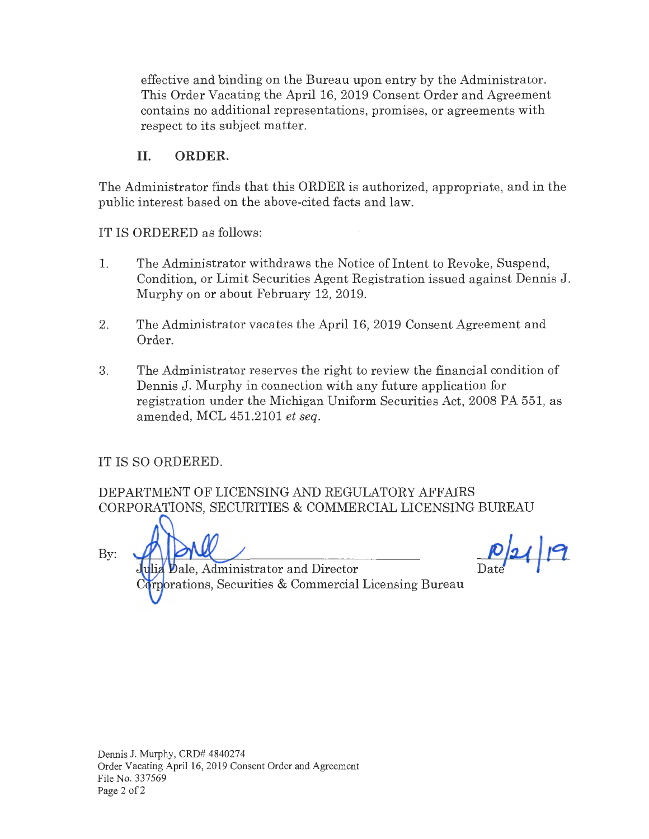effective and binding on the Bureau upon entry by the Administrator. This Order Vacating the April 16, 2019 Consent Order and Agreement contains no additional representations, promises, or agreements with respect to its subject matter.

## II. **ORDER.**

The Administrator finds that this ORDER is authorized, appropriate, and in the public interest based on the above-cited facts and law.

IT IS ORDERED as follows:

- 1. The Administrator withdraws the Notice of Intent to Revoke, Suspend, Condition, or Limit Securities Agent Registration issued against Dennis J. Murphy on or about February 12, 2019.
- 2. The Administrator vacates the April 16, 2019 Consent Agreement and Order.
- 3. The Administrator reserves the right to review the financial condition of Dennis J. Murphy in connection with any future application for registration under the Michigan Uniform Securities Act, 2008 PA 551, as amended, MCL 451.2101 *et seq.*

IT IS SO ORDERED.

DEPARTMENT OF LICENSING AND REGULATORY AFFAIRS CORPORATIONS, SECURITIES & COMMERCIAL LICENSING BUREAU

By:

ale, Administrator and Director rations, Securities & Commercial Licensing Bureau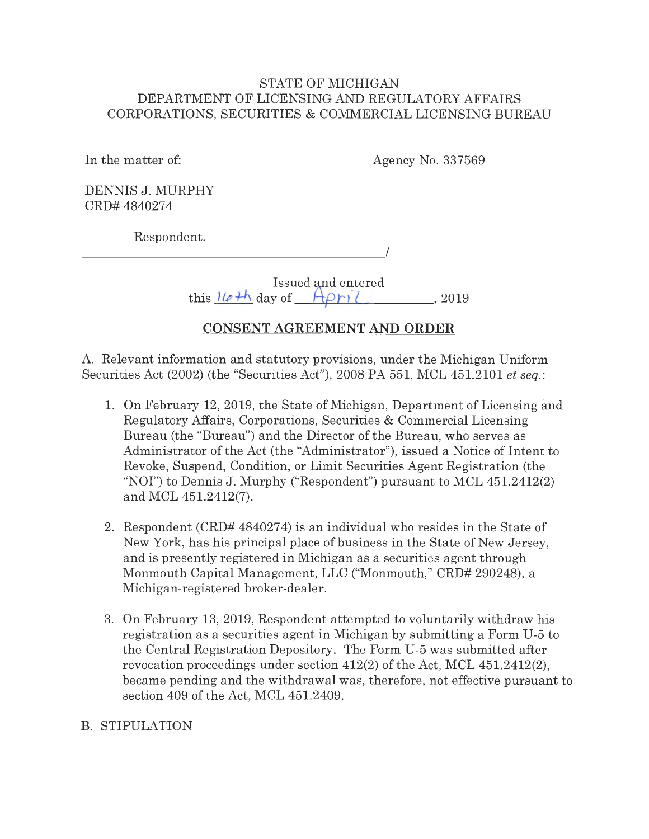### STATE OF MICHIGAN DEPARTMENT OF LICENSING AND REGULATORY AFFAIRS CORPORATIONS, SECURITIES & COMMERCIAL LICENSING BUREAU

In the matter of:

Agency No. 337569

I

DENNIS J. MURPHY CRD# 4840274

Respondent.

Issued and entered

this  $\frac{1}{e+h}$  day of  $\frac{A\rho_{1}}{e}, \frac{A}{e}, 2019$ 

# **CONSENT AGREEMENT AND ORDER**

A. Relevant information and statutory provisions, under the Michigan Uniform Securities Act (2002) (the "Securities Act"), 2008 PA 551, MCL 451.2101 *et seq.:* 

- 1. On February 12, 2019, the State of Michigan, Department of Licensing and Regulatory Affairs, Corporations, Securities & Commercial Licensing Bureau (the "Bureau") and the Director of the Bureau, who serves as Administrator of the Act (the "Administrator"), issued a Notice of Intent to Revoke, Suspend, Condition, or Limit Securities Agent Registration (the "NOI") to Dennis J. Murphy ("Respondent") pursuant to MCL 451.2412(2) and MCL 451.2412(7).
- 2. Respondent (CRD# 4840274) is an individual who resides in the State of New York, has his principal place of business in the State of New Jersey, and is presently registered in Michigan as a securities agent through Monmouth Capital Management, LLC ("Monmouth," CRD# 290248), a Michigan-registered broker-dealer.
- 3. On February 13, 2019, Respondent attempted to voluntarily withdraw his registration as a securities agent in Michigan by submitting a Form U-5 to the Central Registration Depository. The Form U-5 was submitted after revocation proceedings under section 412(2) of the Act, MCL 451.2412(2), became pending and the withdrawal was, therefore, not effective pursuant to section 409 of the Act, MCL 451.2409.

# B. STIPULATION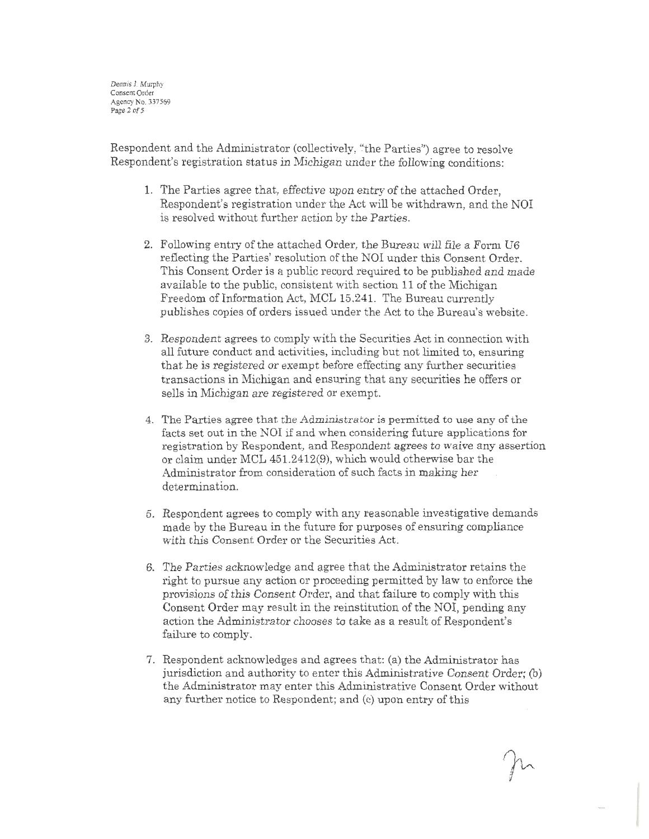Dennis J. Murphy Consent Order Agency No. 337569 Page 2 of 5

Respondent and the Administrator (collectively, "the Parties") agree to resolve Respondent's registration status in Michigan under the following conditions:

- 1. The Parties agree that, effective upon entry of the attached Order, Respondent's registration under the Act will be withdrawn, and the NOI is resolved without further action by the Parties.
- 2. Following entry of the attached Order, the Bureau will file a Form U6 reflecting the Parties' resolution of the NOI under this Consent Order. This Consent Order is a public record required to be published and made available to the public, consistent with section 11 of the Michigan Freedom of Information Act, MCL 15.241. The Bureau currently publishes copies of orders issued under the Act to the Bureau's website.
- 3. Respondent agrees to comply with the Securities Act in connection with all future conduct and activities, including but not limited to, ensuring that he is registered or exempt before effecting any further securities transactions in Michigan and ensuring that any securities he offers or sells in Michigan are registered or exempt.
- 4. The Parties agree that the Administrator is permitted to use any of the facts set out in the NOI if and when considering future applications for registration by Respondent, and Respondent agrees to waive any assertion or claim under MCL 451.2412(9), which would otherwise bar the Administrator from consideration of such facts in making her determination.
- 5. Respondent agrees to comply with any reasonable investigative demands made by the Bureau in the future for purposes of ensuring compliance with this Consent Order or the Securities Act.
- 6. The Parties acknowledge and agree that the Administrator retains the right to pursue any action or proceeding permitted by law to enforce the provisions of this Consent Order, and that failure to comply with this Consent Order may result in the reinstitution of the NOI, pending any action the Administrator chooses to take as a result of Respondent's failure to comply.
- 7. Respondent acknowledges and agrees that: (a) the Administrator has jurisdiction and authority to enter this Administrative Consent Order; (b) the Administrator may enter this Administrative Consent Order without any further notice to Respondent; and (c) upon entry of this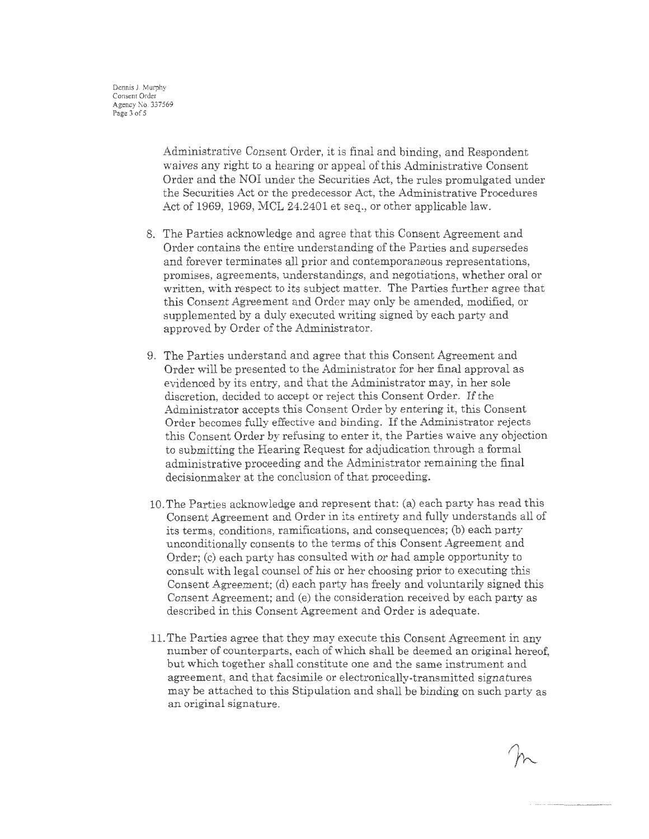Administrative Consent Order, it is final and binding, and Respondent waives any right to a hearing or appeal of this Administrative Consent Order and the NOI under the Securities Act, the rules promulgated under the Securities Act or the predecessor Act, the Administrative Procedures Act of 1969, 1969, MCL 24.2401 et seq., or other applicable law.

- 8. The Parties acknowledge and agree that this Consent Agreement and Order contains the entire understanding of the Parties and supersedes and forever terminates all prior and contemporaneous representations, promises, agreements, understandings, and negotiations, whether oral or written, with respect to its subject matter. The Parties further agree that this Consent Agreement and Order may only be amended, modified, or supplemented by a duly executed writing signed by each party and approved by Order of the Administrator.
- 9. The Parties understand and agree that this Consent Agreement and Order will be presented to the Administrator for her final approval as evidenced by its entry, and that the Administrator may, in her sole discretion, decided to accept or reject this Consent Order. If the Administrator accepts this Consent Order by entering it, this Consent Order becomes fully effective and binding. If the Administrator rejects this Consent Order by refusing to enter it, the Parties waive any objection to submitting the Hearing Request for adjudication through a formal administrative proceeding and the Administrator remaining the final decisionmaker at the conclusion of that proceeding.
- 10. The Parties acknowledge and represent that: (a) each party has read this Consent Agreement and Order in its entirety and fully understands all of its terms, conditions, ramifications, and consequences; (b) each party unconditionally consents to the terms of this Consent Agreement and Order; (c) each party has consulted with or had ample opportunity to consult with legal counsel of his or her choosing prior to executing this Consent Agreement; (d) each party has freely and voluntarily signed this Consent Agreement; and (e) the consideration received by each party as described in this Consent Agreement and Order is adequate.
- 11. The Parties agree that they may execute this Consent Agreement in any number of counterparts, each of which shall be deemed an original hereof, but which together shall constitute one and the same instrument and agreement, and that facsimile or electronically-transmitted signatures may be attached to this Stipulation and shall be binding on such party as an original signature.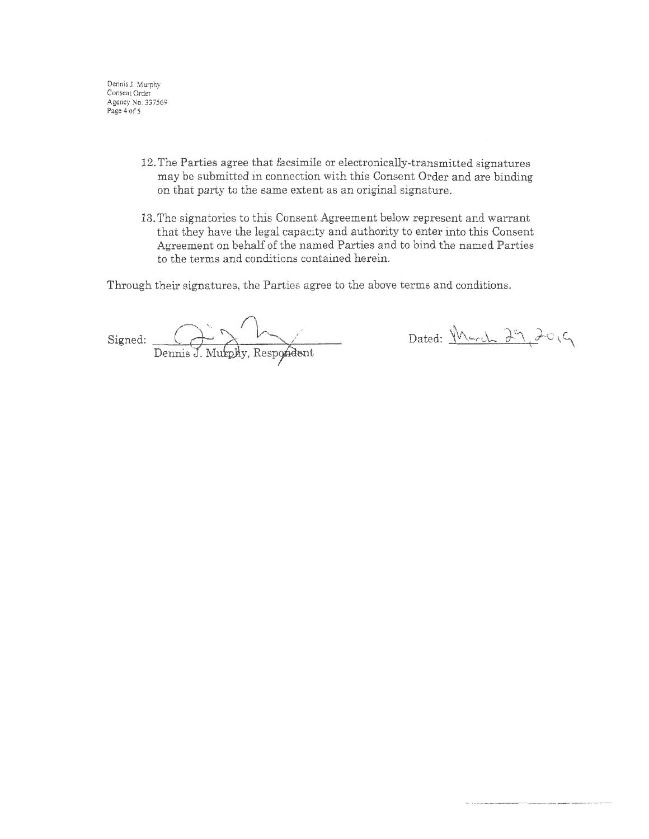Dennis J. Murphy Consent Order Agency No. 337569 Page 4 of 5

- 12. The Parties agree that facsimile or electronically-transmitted signatures may be submitted in connection with this Consent Order and are binding on that party to the same extent as an original signature.
- 13. The signatories to this Consent Agreement below represent and warrant that they have the legal capacity and authority to enter into this Consent Agreement on behalf of the named Parties and to bind the named Parties to the terms and conditions contained herein.

Through their signatures, the Parties agree to the above terms and conditions.

**Signed:** / Dennis J. Murphy, Respondent

Dated: Murch 29, 2019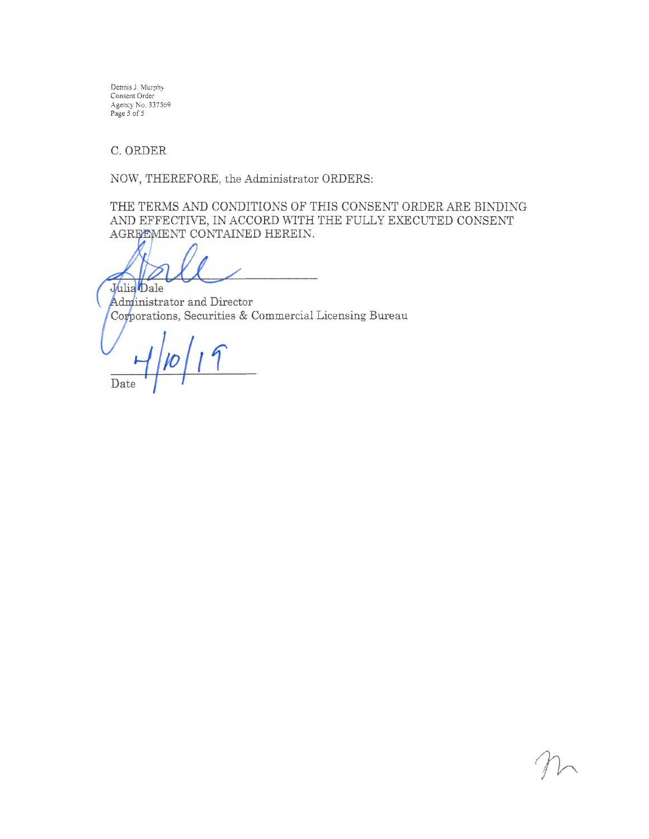Dennis J, Murphy Consent Order Agency No. 337569<br>Page 5 of 5

C. ORDER

NOW, THEREFORE, the Administrator ORDERS:

THE TERMS *AND* CONDITIONS OF THIS CONSENT ORDER ARE BINDING AND EFFECTIVE, IN ACCORD WITH THE FULLY EXECUTED CONSENT AGREEMENT CONTAINED HEREIN.

Julia Dale

Administrator and Director Corporations, Securities & Commercial Licensing Bureau

Date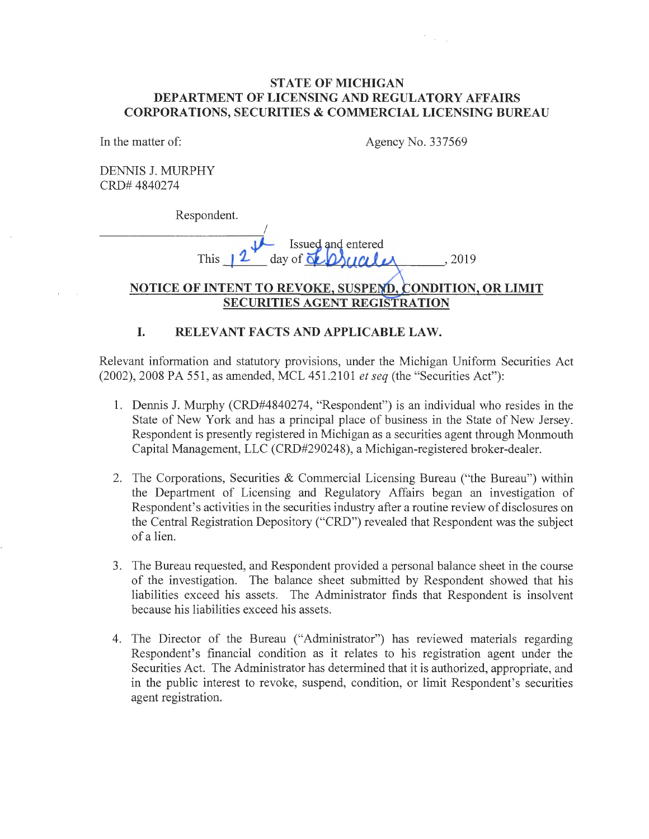#### **STATE OF MICHIGAN DEPARTMENT OF LICENSING AND REGULATORY AFFAIRS CORPORATIONS, SECURITIES & COMMERCIAL LICENSING BUREAU**

In the matter of: Agency No. 337569

 $\frac{1}{2} \frac{1}{2} \frac{1}{2} \frac{1}{2} \frac{1}{2} \frac{1}{2}$ 

DENNIS J. MURPHY CRD# 4840274

Respondent.

I Issued and entered This  $12$  day of  $\Delta$   $\Delta$ 

### **NOTICE OF INTENT TO REVOKE, SUSPEND, CONDITION, OR LIMIT SECURITIES AGENT REGISTRATION**

#### **I. RELEVANT FACTS AND APPLICABLE LAW.**

Relevant information and statutory provisions, under the Michigan Uniform Securities Act (2002), 2008 PA 551, as amended, MCL 451.2101 *et seq* (the "Securities Act"):

- 1. Dennis J. Murphy (CRD#4840274, "Respondent") is an individual who resides in the State of New York and has a principal place of business in the State of New Jersey. Respondent is presently registered in Michigan as a securities agent through Monmouth Capital Management, LLC (CRD#290248), a Michigan-registered broker-dealer.
- 2. The Corporations, Securities & Commercial Licensing Bureau ("the Bureau") within the Department of Licensing and Regulatory Affairs began an investigation of Respondent's activities in the securities industry after a routine review of disclosures on the Central Registration Depository ("CRD") revealed that Respondent was the subject of a lien.
- 3. The Bureau requested, and Respondent provided a personal balance sheet in the course of the investigation. The balance sheet submitted by Respondent showed that his liabilities exceed his assets. The Administrator finds that Respondent is insolvent because his liabilities exceed his assets.
- 4. The Director of the Bureau ("Administrator") has reviewed materials regarding Respondent's financial condition as it relates to his registration agent under the Securities Act. The Administrator has determined that it is authorized, appropriate, and in the public interest to revoke, suspend, condition, or limit Respondent's securities agent registration.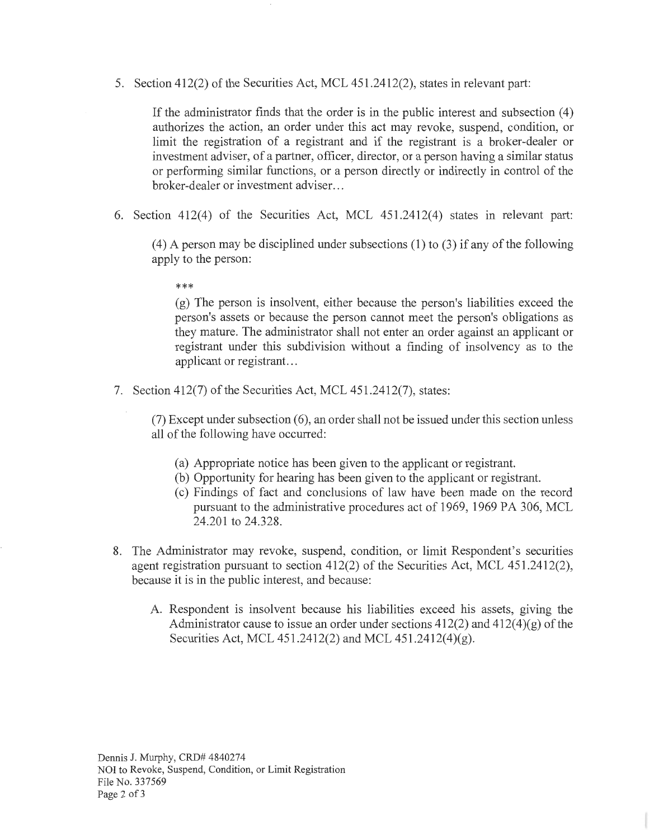5. Section 412(2) of the Securities Act, MCL 451.2412(2), states in relevant part:

If the administrator finds that the order is in the public interest and subsection (4) authorizes the action, an order under this act may revoke, suspend, condition, or limit the registration of a registrant and if the registrant is a broker-dealer or investment adviser, of a partner, officer, director, or a person having a similar status or performing similar functions, or a person directly or indirectly in control of the broker-dealer or investment adviser...

6. Section 412(4) of the Securities Act, MCL 451.2412(4) states in relevant part:

(4) A person may be disciplined under subsections (1) to (3) if any of the following apply to the person:

\*\*\*

(g) The person is insolvent, either because the person's liabilities exceed the person's assets or because the person cannot meet the person's obligations as they mature. The administrator shall not enter an order against an applicant or registrant under this subdivision without a finding of insolvency as to the applicant or registrant...

7. Section 412(7) of the Securities Act, MCL 451.2412(7), states:

 $(7)$  Except under subsection  $(6)$ , an order shall not be issued under this section unless all of the following have occurred:

- (a) Appropriate notice has been given to the applicant or registrant.
- (b) Opportunity for hearing has been given to the applicant or registrant.
- ( c) Findings of fact and conclusions of law have been made on the record pursuant to the administrative procedures act of 1969, 1969 PA 306, MCL 24.201 to 24.328.
- 8. The Administrator may revoke, suspend, condition, or limit Respondent's securities agent registration pursuant to section 412(2) of the Securities Act, MCL 451.2412(2), because it is in the public interest, and because:
	- A. Respondent is insolvent because his liabilities exceed his assets, giving the Administrator cause to issue an order under sections  $412(2)$  and  $412(4)(g)$  of the Securities Act, MCL 451.2412(2) and MCL 451.2412(4)(g).